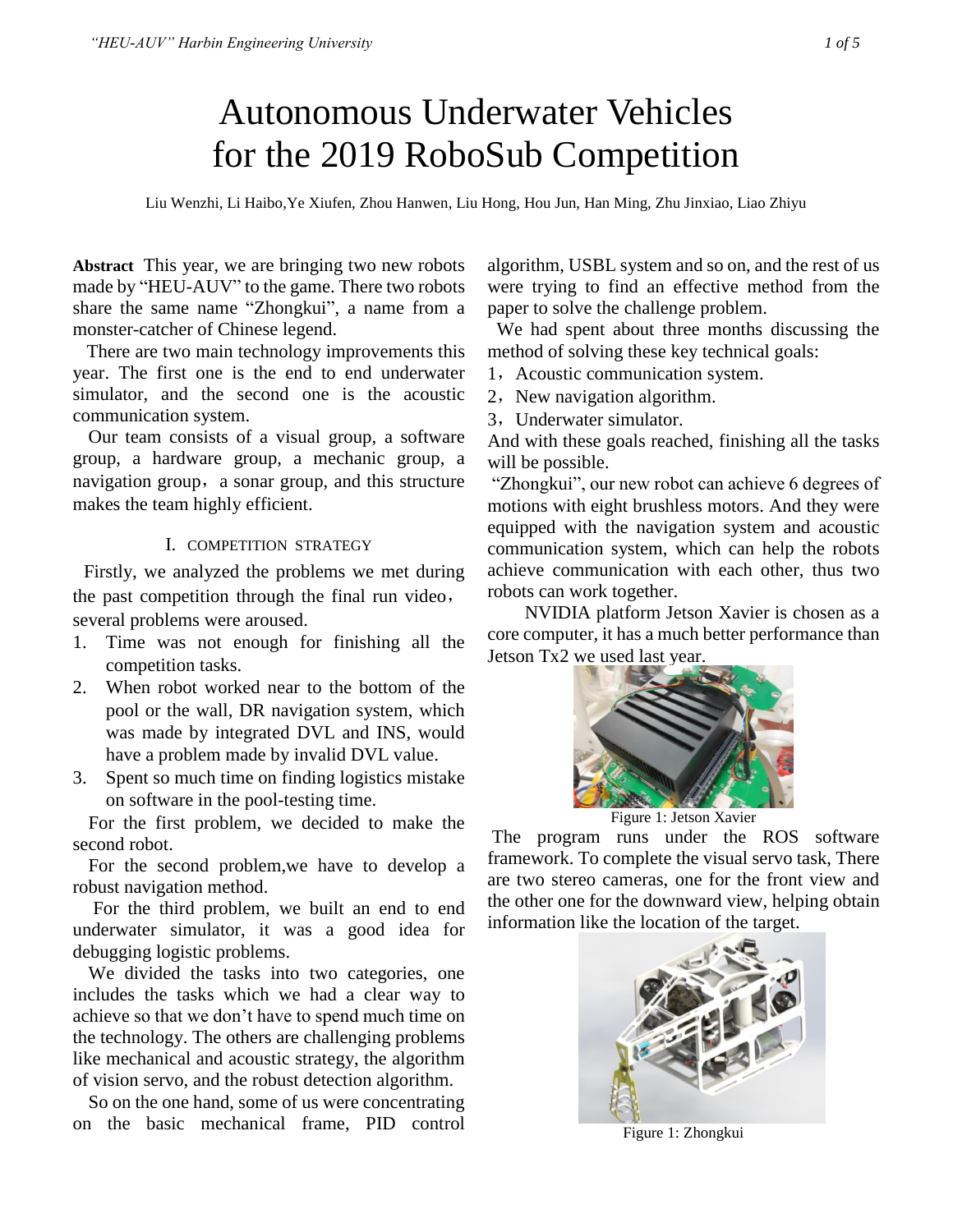# Autonomous Underwater Vehicles for the 2019 RoboSub Competition

Liu Wenzhi, Li Haibo,Ye Xiufen, Zhou Hanwen, Liu Hong, Hou Jun, Han Ming, Zhu Jinxiao, Liao Zhiyu

**Abstract** This year, we are bringing two new robots made by "HEU-AUV" to the game. There two robots share the same name "Zhongkui", a name from a monster-catcher of Chinese legend.

There are two main technology improvements this year. The first one is the end to end underwater simulator, and the second one is the acoustic communication system.

Our team consists of a visual group, a software group, a hardware group, a mechanic group, a navigation group, a sonar group, and this structure makes the team highly efficient.

#### I. COMPETITION STRATEGY

Firstly, we analyzed the problems we met during the past competition through the final run video, several problems were aroused.

- 1. Time was not enough for finishing all the competition tasks.
- 2. When robot worked near to the bottom of the pool or the wall, DR navigation system, which was made by integrated DVL and INS, would have a problem made by invalid DVL value.
- 3. Spent so much time on finding logistics mistake on software in the pool-testing time.

For the first problem, we decided to make the second robot.

For the second problem,we have to develop a robust navigation method.

For the third problem, we built an end to end underwater simulator, it was a good idea for debugging logistic problems.

We divided the tasks into two categories, one includes the tasks which we had a clear way to achieve so that we don't have to spend much time on the technology. The others are challenging problems like mechanical and acoustic strategy, the algorithm of vision servo, and the robust detection algorithm.

So on the one hand, some of us were concentrating on the basic mechanical frame, PID control

algorithm, USBL system and so on, and the rest of us were trying to find an effective method from the paper to solve the challenge problem.

We had spent about three months discussing the method of solving these key technical goals:

- 1, Acoustic communication system.
- 2, New navigation algorithm.
- 3, Underwater simulator.

And with these goals reached, finishing all the tasks will be possible.

"Zhongkui", our new robot can achieve 6 degrees of motions with eight brushless motors. And they were equipped with the navigation system and acoustic communication system, which can help the robots achieve communication with each other, thus two robots can work together.

NVIDIA platform Jetson Xavier is chosen as a core computer, it has a much better performance than Jetson Tx2 we used last year.



The program runs under the ROS software framework. To complete the visual servo task, There are two stereo cameras, one for the front view and the other one for the downward view, helping obtain information like the location of the target.



Figure 1: Zhongkui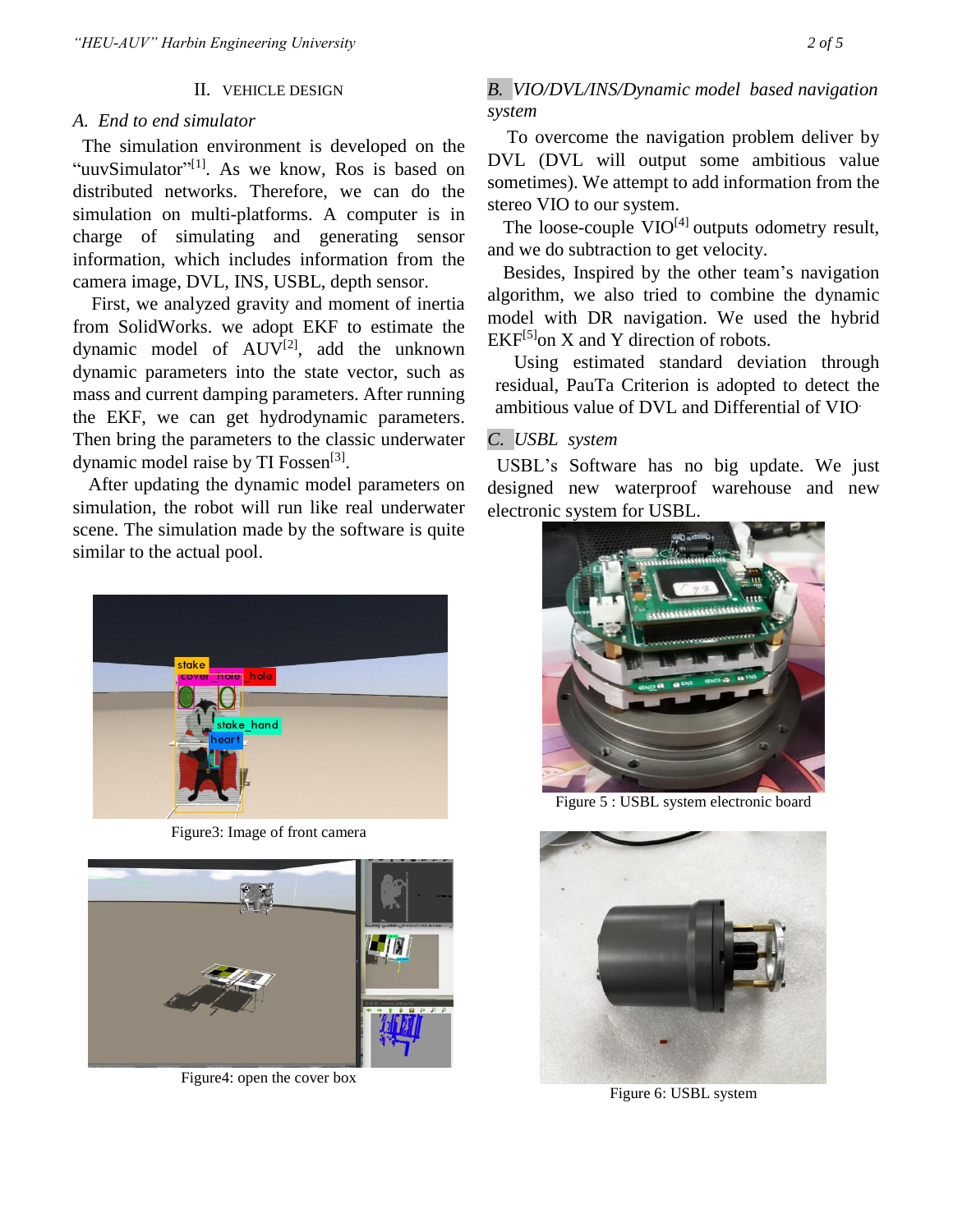## II. VEHICLE DESIGN

#### *A. End to end simulator*

The simulation environment is developed on the "uuvSimulator"<sup>[1]</sup>. As we know, Ros is based on distributed networks. Therefore, we can do the simulation on multi-platforms. A computer is in charge of simulating and generating sensor information, which includes information from the camera image, DVL, INS, USBL, depth sensor.

First, we analyzed gravity and moment of inertia from SolidWorks. we adopt EKF to estimate the dynamic model of  $AUV^{[2]}$ , add the unknown dynamic parameters into the state vector, such as mass and current damping parameters. After running the EKF, we can get hydrodynamic parameters. Then bring the parameters to the classic underwater dynamic model raise by TI Fossen<sup>[3]</sup>.

After updating the dynamic model parameters on simulation, the robot will run like real underwater scene. The simulation made by the software is quite similar to the actual pool.



Figure3: Image of front camera



Figure4: open the cover box

# *B. VIO/DVL/INS/Dynamic model based navigation system*

To overcome the navigation problem deliver by DVL (DVL will output some ambitious value sometimes). We attempt to add information from the stereo VIO to our system.

The loose-couple  $VIO^{[4]}$  outputs odometry result, and we do subtraction to get velocity.

Besides, Inspired by the other team's navigation algorithm, we also tried to combine the dynamic model with DR navigation. We used the hybrid  $EKF^{[5]}$ on X and Y direction of robots.

Using estimated standard deviation through residual, PauTa Criterion is adopted to detect the ambitious value of DVL and Differential of VIO.

# *C. USBL system*

 USBL's Software has no big update. We just designed new waterproof warehouse and new electronic system for USBL.



Figure 5 : USBL system electronic board



Figure 6: USBL system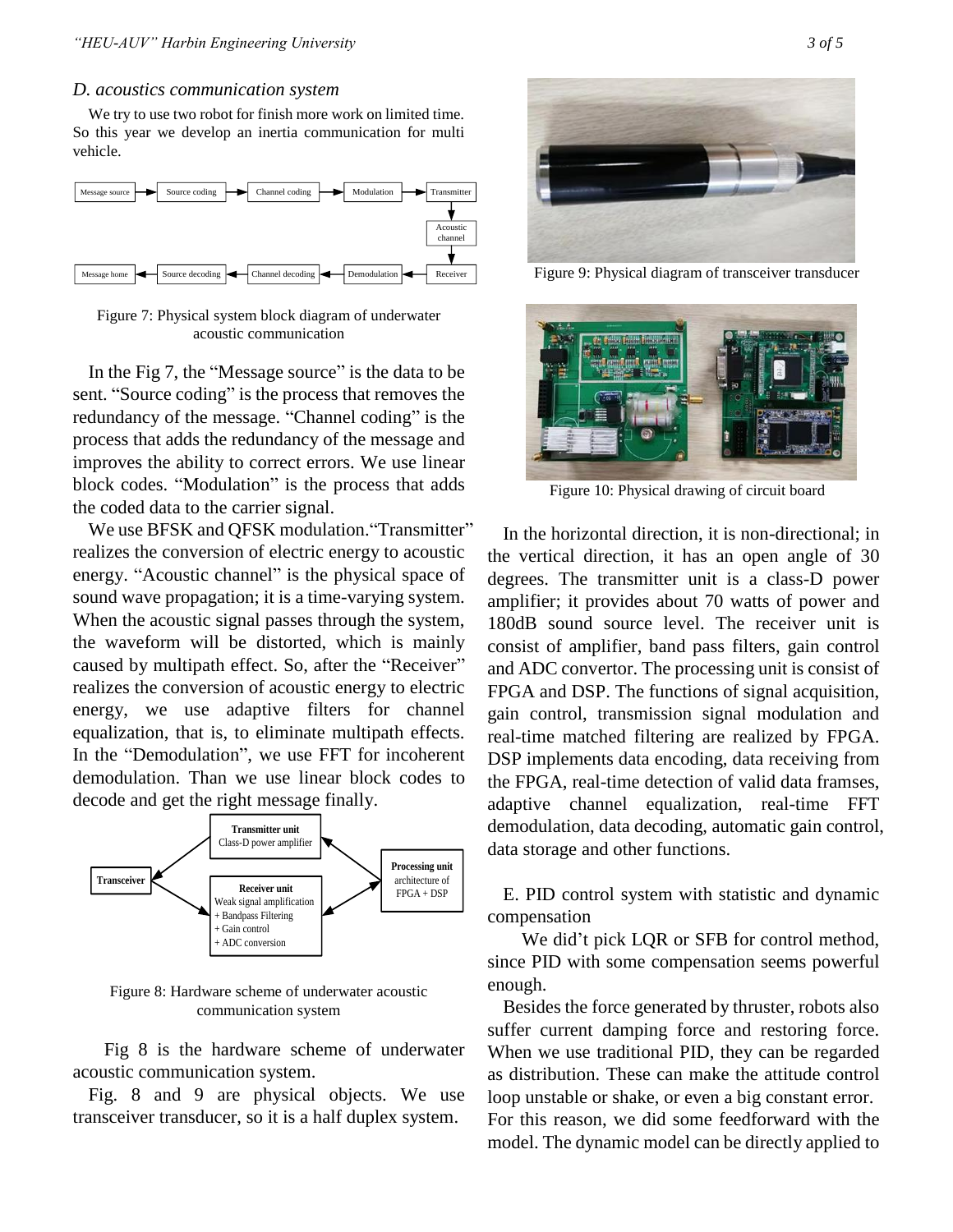#### *D. acoustics communication system*

We try to use two robot for finish more work on limited time. So this year we develop an inertia communication for multi vehicle.



Figure 7: Physical system block diagram of underwater acoustic communication

In the Fig 7, the "Message source" is the data to be sent. "Source coding" is the process that removes the redundancy of the message. "Channel coding" is the process that adds the redundancy of the message and improves the ability to correct errors. We use linear block codes. "Modulation" is the process that adds the coded data to the carrier signal.

We use BFSK and OFSK modulation. "Transmitter" realizes the conversion of electric energy to acoustic energy. "Acoustic channel" is the physical space of sound wave propagation; it is a time-varying system. When the acoustic signal passes through the system, the waveform will be distorted, which is mainly caused by multipath effect. So, after the "Receiver" realizes the conversion of acoustic energy to electric energy, we use adaptive filters for channel equalization, that is, to eliminate multipath effects. In the "Demodulation", we use FFT for incoherent demodulation. Than we use linear block codes to decode and get the right message finally.



Figure 8: Hardware scheme of underwater acoustic communication system

Fig 8 is the hardware scheme of underwater acoustic communication system.

Fig. 8 and 9 are physical objects. We use transceiver transducer, so it is a half duplex system.



Figure 9: Physical diagram of transceiver transducer



Figure 10: Physical drawing of circuit board

In the horizontal direction, it is non-directional; in the vertical direction, it has an open angle of 30 degrees. The transmitter unit is a class-D power amplifier; it provides about 70 watts of power and 180dB sound source level. The receiver unit is consist of amplifier, band pass filters, gain control and ADC convertor. The processing unit is consist of FPGA and DSP. The functions of signal acquisition, gain control, transmission signal modulation and real-time matched filtering are realized by FPGA. DSP implements data encoding, data receiving from the FPGA, real-time detection of valid data framses, adaptive channel equalization, real-time FFT demodulation, data decoding, automatic gain control, data storage and other functions.

E. PID control system with statistic and dynamic compensation

 We did't pick LQR or SFB for control method, since PID with some compensation seems powerful enough.

Besides the force generated by thruster, robots also suffer current damping force and restoring force. When we use traditional PID, they can be regarded as distribution. These can make the attitude control loop unstable or shake, or even a big constant error. For this reason, we did some feedforward with the model. The dynamic model can be directly applied to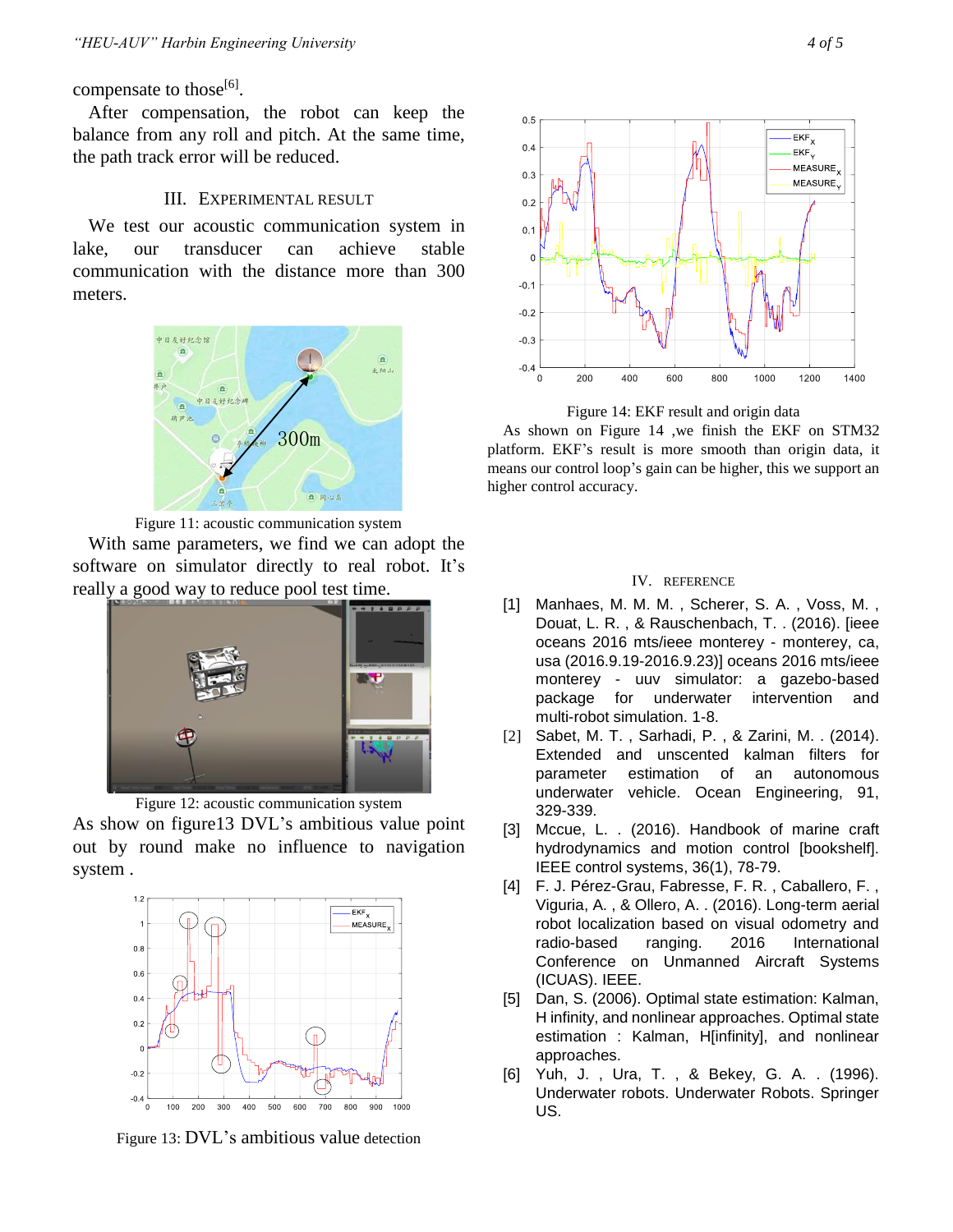compensate to those<sup>[6]</sup>.

After compensation, the robot can keep the balance from any roll and pitch. At the same time, the path track error will be reduced.

## III. EXPERIMENTAL RESULT

We test our acoustic communication system in lake, our transducer can achieve stable communication with the distance more than 300 meters.



Figure 11: acoustic communication system

With same parameters, we find we can adopt the software on simulator directly to real robot. It's really a good way to reduce pool test time.



Figure 12: acoustic communication system As show on figure13 DVL's ambitious value point out by round make no influence to navigation system .



Figure 13: DVL's ambitious value detection



Figure 14: EKF result and origin data

As shown on Figure 14 ,we finish the EKF on STM32 platform. EKF's result is more smooth than origin data, it means our control loop's gain can be higher, this we support an higher control accuracy.

#### IV. REFERENCE

- [1] Manhaes, M. M. M. , Scherer, S. A. , Voss, M. , Douat, L. R. , & Rauschenbach, T. . (2016). [ieee oceans 2016 mts/ieee monterey - monterey, ca, usa (2016.9.19-2016.9.23)] oceans 2016 mts/ieee monterey - uuv simulator: a gazebo-based package for underwater intervention and multi-robot simulation. 1-8.
- [2] Sabet, M. T. , Sarhadi, P. , & Zarini, M. . (2014). Extended and unscented kalman filters for parameter estimation of an autonomous underwater vehicle. Ocean Engineering, 91, 329-339.
- [3] Mccue, L. . (2016). Handbook of marine craft hydrodynamics and motion control [bookshelf]. IEEE control systems, 36(1), 78-79.
- [4] F. J. Pérez-Grau, Fabresse, F. R., Caballero, F., Viguria, A. , & Ollero, A. . (2016). Long-term aerial robot localization based on visual odometry and radio-based ranging. 2016 International Conference on Unmanned Aircraft Systems (ICUAS). IEEE.
- [5] Dan, S. (2006). Optimal state estimation: Kalman, H infinity, and nonlinear approaches. Optimal state estimation : Kalman, H[infinity], and nonlinear approaches.
- [6] Yuh, J. , Ura, T. , & Bekey, G. A. . (1996). Underwater robots. Underwater Robots. Springer US.